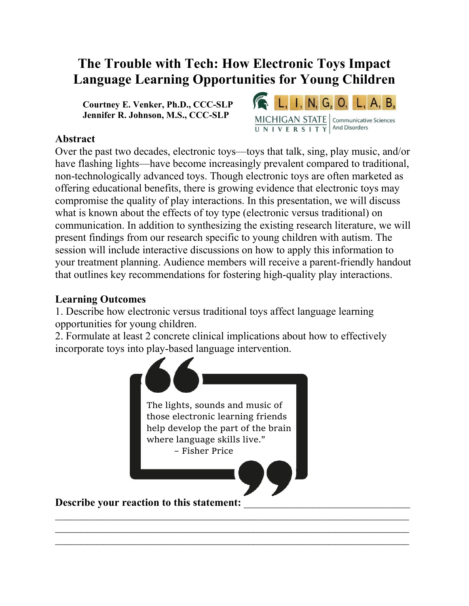# **The Trouble with Tech: How Electronic Toys Impact Language Learning Opportunities for Young Children**

**Courtney E. Venker, Ph.D., CCC-SLP Jennifer R. Johnson, M.S., CCC-SLP**



### **Abstract**

Over the past two decades, electronic toys—toys that talk, sing, play music, and/or have flashing lights—have become increasingly prevalent compared to traditional, non-technologically advanced toys. Though electronic toys are often marketed as offering educational benefits, there is growing evidence that electronic toys may compromise the quality of play interactions. In this presentation, we will discuss what is known about the effects of toy type (electronic versus traditional) on communication. In addition to synthesizing the existing research literature, we will present findings from our research specific to young children with autism. The session will include interactive discussions on how to apply this information to your treatment planning. Audience members will receive a parent-friendly handout that outlines key recommendations for fostering high-quality play interactions.

#### **Learning Outcomes**

1. Describe how electronic versus traditional toys affect language learning opportunities for young children.

2. Formulate at least 2 concrete clinical implications about how to effectively incorporate toys into play-based language intervention.



 $\mathcal{L}_\text{max}$  , and the contract of the contract of the contract of the contract of the contract of the contract of the contract of the contract of the contract of the contract of the contract of the contract of the contr  $\mathcal{L}_\text{max}$  , and the contract of the contract of the contract of the contract of the contract of the contract of the contract of the contract of the contract of the contract of the contract of the contract of the contr  $\mathcal{L}_\text{max}$  , and the contribution of the contribution of the contribution of the contribution of the contribution of the contribution of the contribution of the contribution of the contribution of the contribution of t

Describe your reaction to this statement: